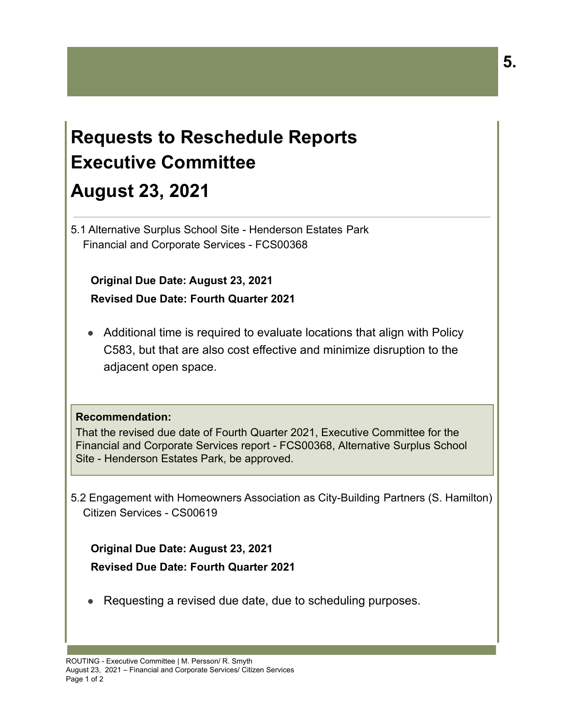## **Requests to Reschedule Reports Executive Committee August 23, 2021**

5.1 Alternative Surplus School Site - Henderson Estates Park Financial and Corporate Services - FCS00368

**Original Due Date: August 23, 2021 Revised Due Date: Fourth Quarter 2021**

● Additional time is required to evaluate locations that align with Policy C583, but that are also cost effective and minimize disruption to the adjacent open space.

## **Recommendation:**

That the revised due date of Fourth Quarter 2021, Executive Committee for the Financial and Corporate Services report - FCS00368, Alternative Surplus School Site - Henderson Estates Park, be approved.

5.2 Engagement with Homeowners Association as City-Building Partners (S. Hamilton) Citizen Services - CS00619

**Original Due Date: August 23, 2021 Revised Due Date: Fourth Quarter 2021**

● Requesting a revised due date, due to scheduling purposes.